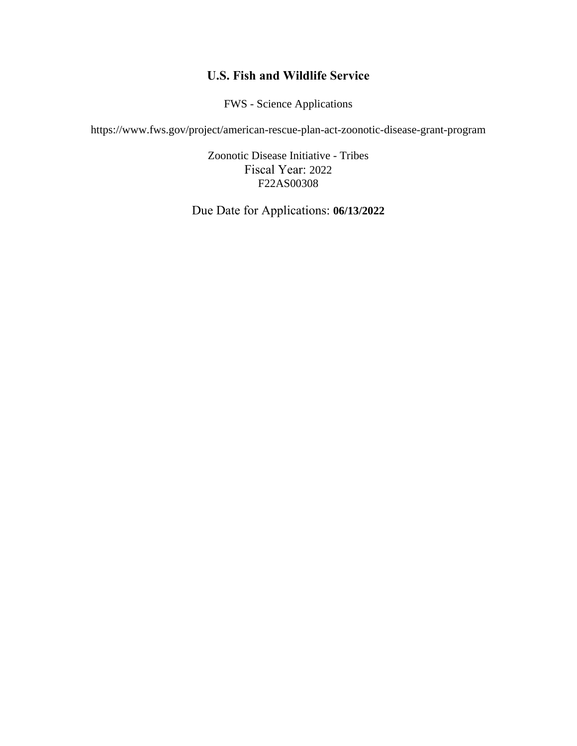# **U.S. Fish and Wildlife Service**

FWS - Science Applications

https://www.fws.gov/project/american-rescue-plan-act-zoonotic-disease-grant-program

Zoonotic Disease Initiative - Tribes Fiscal Year: 2022 F22AS00308

Due Date for Applications: **06/13/2022**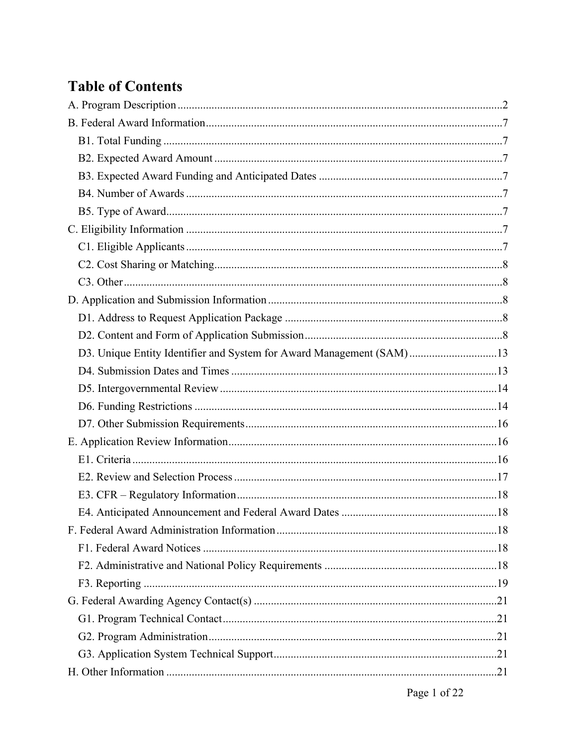# **Table of Contents**

| D3. Unique Entity Identifier and System for Award Management (SAM)13 |  |
|----------------------------------------------------------------------|--|
|                                                                      |  |
|                                                                      |  |
|                                                                      |  |
|                                                                      |  |
|                                                                      |  |
|                                                                      |  |
|                                                                      |  |
|                                                                      |  |
|                                                                      |  |
|                                                                      |  |
|                                                                      |  |
|                                                                      |  |
|                                                                      |  |
|                                                                      |  |
|                                                                      |  |
|                                                                      |  |
|                                                                      |  |
|                                                                      |  |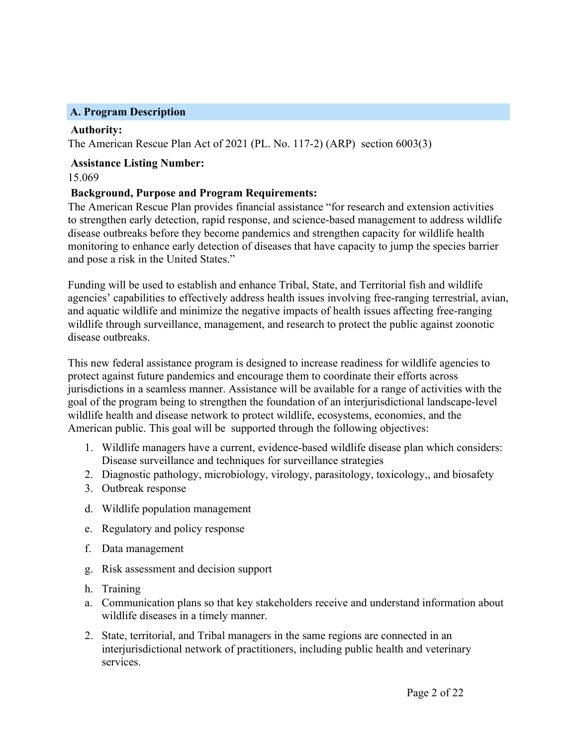### <span id="page-2-0"></span>**A. Program Description**

#### **Authority:**

The American Rescue Plan Act of 2021 (PL. No. 117-2) (ARP) section 6003(3)

#### **Assistance Listing Number:** 15.069

### **Background, Purpose and Program Requirements:**

The American Rescue Plan provides financial assistance "for research and extension activities to strengthen early detection, rapid response, and science-based management to address wildlife disease outbreaks before they become pandemics and strengthen capacity for wildlife health monitoring to enhance early detection of diseases that have capacity to jump the species barrier and pose a risk in the United States."

Funding will be used to establish and enhance Tribal, State, and Territorial fish and wildlife agencies' capabilities to effectively address health issues involving free-ranging terrestrial, avian, and aquatic wildlife and minimize the negative impacts of health issues affecting free-ranging wildlife through surveillance, management, and research to protect the public against zoonotic disease outbreaks.

This new federal assistance program is designed to increase readiness for wildlife agencies to protect against future pandemics and encourage them to coordinate their efforts across jurisdictions in a seamless manner. Assistance will be available for a range of activities with the goal of the program being to strengthen the foundation of an interjurisdictional landscape-level wildlife health and disease network to protect wildlife, ecosystems, economies, and the American public. This goal will be supported through the following objectives:

- 1. Wildlife managers have a current, evidence-based wildlife disease plan which considers: Disease surveillance and techniques for surveillance strategies
- 2. Diagnostic pathology, microbiology, virology, parasitology, toxicology,, and biosafety
- 3. Outbreak response
- d. Wildlife population management
- e. Regulatory and policy response
- f. Data management
- g. Risk assessment and decision support
- h. Training
- a. Communication plans so that key stakeholders receive and understand information about wildlife diseases in a timely manner.
- 2. State, territorial, and Tribal managers in the same regions are connected in an interjurisdictional network of practitioners, including public health and veterinary services.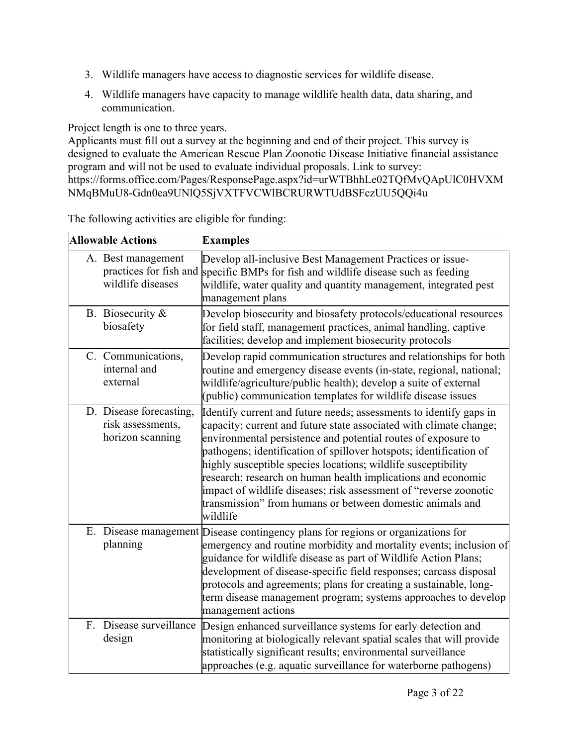- 3. Wildlife managers have access to diagnostic services for wildlife disease.
- 4. Wildlife managers have capacity to manage wildlife health data, data sharing, and communication.

Project length is one to three years.

Applicants must fill out a survey at the beginning and end of their project. This survey is designed to evaluate the American Rescue Plan Zoonotic Disease Initiative financial assistance program and will not be used to evaluate individual proposals. Link to survey: https://forms.office.com/Pages/ResponsePage.aspx?id=urWTBhhLe02TQfMvQApUlC0HVXM NMqBMuU8-Gdn0ea9UNlQ5SjVXTFVCWlBCRURWTUdBSFczUU5QQi4u

The following activities are eligible for funding:

| <b>Allowable Actions</b>                                          | <b>Examples</b>                                                                                                                                                                                                                                                                                                                                                                                                                                                                                                                                                |
|-------------------------------------------------------------------|----------------------------------------------------------------------------------------------------------------------------------------------------------------------------------------------------------------------------------------------------------------------------------------------------------------------------------------------------------------------------------------------------------------------------------------------------------------------------------------------------------------------------------------------------------------|
| A. Best management<br>practices for fish and<br>wildlife diseases | Develop all-inclusive Best Management Practices or issue-<br>specific BMPs for fish and wildlife disease such as feeding<br>wildlife, water quality and quantity management, integrated pest<br>management plans                                                                                                                                                                                                                                                                                                                                               |
| B. Biosecurity $\&$<br>biosafety                                  | Develop biosecurity and biosafety protocols/educational resources<br>for field staff, management practices, animal handling, captive<br>facilities; develop and implement biosecurity protocols                                                                                                                                                                                                                                                                                                                                                                |
| C. Communications,<br>internal and<br>external                    | Develop rapid communication structures and relationships for both<br>routine and emergency disease events (in-state, regional, national;<br>wildlife/agriculture/public health); develop a suite of external<br>(public) communication templates for wildlife disease issues                                                                                                                                                                                                                                                                                   |
| D. Disease forecasting,<br>risk assessments,<br>horizon scanning  | Identify current and future needs; assessments to identify gaps in<br>capacity; current and future state associated with climate change;<br>environmental persistence and potential routes of exposure to<br>pathogens; identification of spillover hotspots; identification of<br>highly susceptible species locations; wildlife susceptibility<br>research; research on human health implications and economic<br>impact of wildlife diseases; risk assessment of "reverse zoonotic<br>transmission" from humans or between domestic animals and<br>wildlife |
| planning                                                          | E. Disease management Disease contingency plans for regions or organizations for<br>emergency and routine morbidity and mortality events; inclusion of<br>guidance for wildlife disease as part of Wildlife Action Plans;<br>development of disease-specific field responses; carcass disposal<br>protocols and agreements; plans for creating a sustainable, long-<br>term disease management program; systems approaches to develop<br>management actions                                                                                                    |
| Disease surveillance<br>$F_{\cdot}$<br>design                     | Design enhanced surveillance systems for early detection and<br>monitoring at biologically relevant spatial scales that will provide<br>statistically significant results; environmental surveillance<br>approaches (e.g. aquatic surveillance for waterborne pathogens)                                                                                                                                                                                                                                                                                       |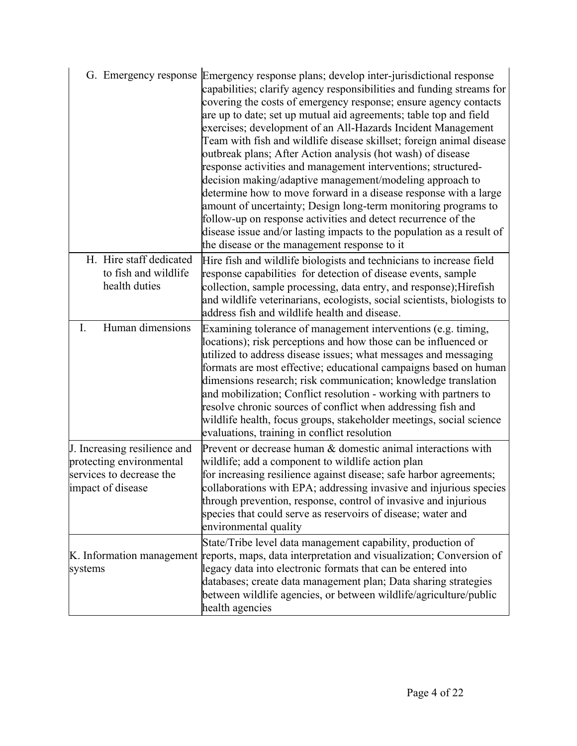|                                                                                                           | G. Emergency response Emergency response plans; develop inter-jurisdictional response<br>capabilities; clarify agency responsibilities and funding streams for<br>covering the costs of emergency response; ensure agency contacts<br>are up to date; set up mutual aid agreements; table top and field<br>exercises; development of an All-Hazards Incident Management<br>Team with fish and wildlife disease skillset; foreign animal disease<br>outbreak plans; After Action analysis (hot wash) of disease<br>response activities and management interventions; structured-<br>decision making/adaptive management/modeling approach to<br>determine how to move forward in a disease response with a large<br>amount of uncertainty; Design long-term monitoring programs to<br>follow-up on response activities and detect recurrence of the<br>disease issue and/or lasting impacts to the population as a result of<br>the disease or the management response to it |
|-----------------------------------------------------------------------------------------------------------|-----------------------------------------------------------------------------------------------------------------------------------------------------------------------------------------------------------------------------------------------------------------------------------------------------------------------------------------------------------------------------------------------------------------------------------------------------------------------------------------------------------------------------------------------------------------------------------------------------------------------------------------------------------------------------------------------------------------------------------------------------------------------------------------------------------------------------------------------------------------------------------------------------------------------------------------------------------------------------|
| H. Hire staff dedicated<br>to fish and wildlife<br>health duties                                          | Hire fish and wildlife biologists and technicians to increase field<br>response capabilities for detection of disease events, sample<br>collection, sample processing, data entry, and response); Hirefish<br>and wildlife veterinarians, ecologists, social scientists, biologists to<br>address fish and wildlife health and disease.                                                                                                                                                                                                                                                                                                                                                                                                                                                                                                                                                                                                                                     |
| Human dimensions<br>I.                                                                                    | Examining tolerance of management interventions (e.g. timing,<br>locations); risk perceptions and how those can be influenced or<br>utilized to address disease issues; what messages and messaging<br>formats are most effective; educational campaigns based on human<br>dimensions research; risk communication; knowledge translation<br>and mobilization; Conflict resolution - working with partners to<br>resolve chronic sources of conflict when addressing fish and<br>wildlife health, focus groups, stakeholder meetings, social science<br>evaluations, training in conflict resolution                                                                                                                                                                                                                                                                                                                                                                        |
| J. Increasing resilience and<br>protecting environmental<br>services to decrease the<br>impact of disease | Prevent or decrease human & domestic animal interactions with<br>wildlife; add a component to wildlife action plan<br>for increasing resilience against disease; safe harbor agreements;<br>collaborations with EPA; addressing invasive and injurious species<br>through prevention, response, control of invasive and injurious<br>species that could serve as reservoirs of disease; water and<br>environmental quality                                                                                                                                                                                                                                                                                                                                                                                                                                                                                                                                                  |
| K. Information management<br>systems                                                                      | State/Tribe level data management capability, production of<br>reports, maps, data interpretation and visualization; Conversion of<br>legacy data into electronic formats that can be entered into<br>databases; create data management plan; Data sharing strategies<br>between wildlife agencies, or between wildlife/agriculture/public<br>health agencies                                                                                                                                                                                                                                                                                                                                                                                                                                                                                                                                                                                                               |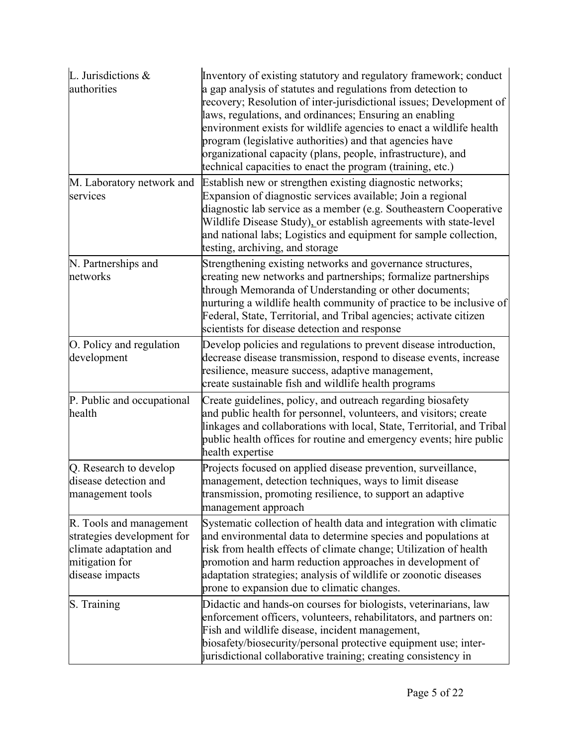| L. Jurisdictions &<br>authorities                                                                                    | Inventory of existing statutory and regulatory framework; conduct<br>a gap analysis of statutes and regulations from detection to<br>recovery; Resolution of inter-jurisdictional issues; Development of<br>laws, regulations, and ordinances; Ensuring an enabling<br>environment exists for wildlife agencies to enact a wildlife health<br>program (legislative authorities) and that agencies have<br>organizational capacity (plans, people, infrastructure), and<br>technical capacities to enact the program (training, etc.) |
|----------------------------------------------------------------------------------------------------------------------|--------------------------------------------------------------------------------------------------------------------------------------------------------------------------------------------------------------------------------------------------------------------------------------------------------------------------------------------------------------------------------------------------------------------------------------------------------------------------------------------------------------------------------------|
| M. Laboratory network and<br>services                                                                                | Establish new or strengthen existing diagnostic networks;<br>Expansion of diagnostic services available; Join a regional<br>diagnostic lab service as a member (e.g. Southeastern Cooperative<br>Wildlife Disease Study), or establish agreements with state-level<br>and national labs; Logistics and equipment for sample collection,<br>testing, archiving, and storage                                                                                                                                                           |
| N. Partnerships and<br>networks                                                                                      | Strengthening existing networks and governance structures,<br>creating new networks and partnerships; formalize partnerships<br>through Memoranda of Understanding or other documents;<br>nurturing a wildlife health community of practice to be inclusive of<br>Federal, State, Territorial, and Tribal agencies; activate citizen<br>scientists for disease detection and response                                                                                                                                                |
| O. Policy and regulation<br>development                                                                              | Develop policies and regulations to prevent disease introduction,<br>decrease disease transmission, respond to disease events, increase<br>resilience, measure success, adaptive management,<br>create sustainable fish and wildlife health programs                                                                                                                                                                                                                                                                                 |
| P. Public and occupational<br>health                                                                                 | Create guidelines, policy, and outreach regarding biosafety<br>and public health for personnel, volunteers, and visitors; create<br>linkages and collaborations with local, State, Territorial, and Tribal<br>public health offices for routine and emergency events; hire public<br>health expertise                                                                                                                                                                                                                                |
| Q. Research to develop<br>disease detection and<br>management tools                                                  | Projects focused on applied disease prevention, surveillance,<br>management, detection techniques, ways to limit disease<br>transmission, promoting resilience, to support an adaptive<br>management approach                                                                                                                                                                                                                                                                                                                        |
| R. Tools and management<br>strategies development for<br>climate adaptation and<br>mitigation for<br>disease impacts | Systematic collection of health data and integration with climatic<br>and environmental data to determine species and populations at<br>risk from health effects of climate change; Utilization of health<br>promotion and harm reduction approaches in development of<br>adaptation strategies; analysis of wildlife or zoonotic diseases<br>prone to expansion due to climatic changes.                                                                                                                                            |
| S. Training                                                                                                          | Didactic and hands-on courses for biologists, veterinarians, law<br>enforcement officers, volunteers, rehabilitators, and partners on:<br>Fish and wildlife disease, incident management,<br>biosafety/biosecurity/personal protective equipment use; inter-<br>jurisdictional collaborative training; creating consistency in                                                                                                                                                                                                       |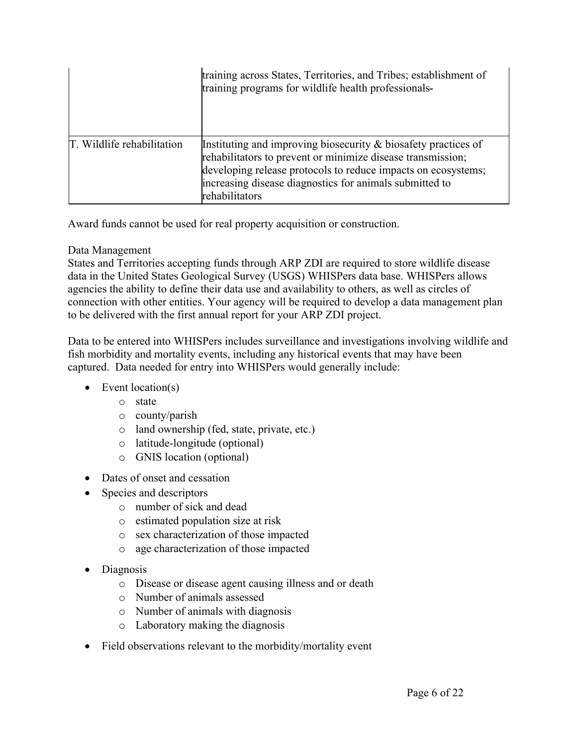|                            | training across States, Territories, and Tribes; establishment of<br>training programs for wildlife health professionals-                                                                                                                                                      |
|----------------------------|--------------------------------------------------------------------------------------------------------------------------------------------------------------------------------------------------------------------------------------------------------------------------------|
| T. Wildlife rehabilitation | Instituting and improving biosecurity $\&$ biosafety practices of<br>rehabilitators to prevent or minimize disease transmission;<br>developing release protocols to reduce impacts on ecosystems;<br>increasing disease diagnostics for animals submitted to<br>rehabilitators |

Award funds cannot be used for real property acquisition or construction.

# Data Management

States and Territories accepting funds through ARP ZDI are required to store wildlife disease data in the United States Geological Survey (USGS) WHISPers data base. WHISPers allows agencies the ability to define their data use and availability to others, as well as circles of connection with other entities. Your agency will be required to develop a data management plan to be delivered with the first annual report for your ARP ZDI project.

Data to be entered into WHISPers includes surveillance and investigations involving wildlife and fish morbidity and mortality events, including any historical events that may have been captured. Data needed for entry into WHISPers would generally include:

- $\bullet$  Event location(s)
	- o state
	- o county/parish
	- o land ownership (fed, state, private, etc.)
	- o latitude-longitude (optional)
	- o GNIS location (optional)
- Dates of onset and cessation
- Species and descriptors
	- o number of sick and dead
	- o estimated population size at risk
	- o sex characterization of those impacted
	- o age characterization of those impacted
- Diagnosis
	- o Disease or disease agent causing illness and or death
	- o Number of animals assessed
	- o Number of animals with diagnosis
	- o Laboratory making the diagnosis
- Field observations relevant to the morbidity/mortality event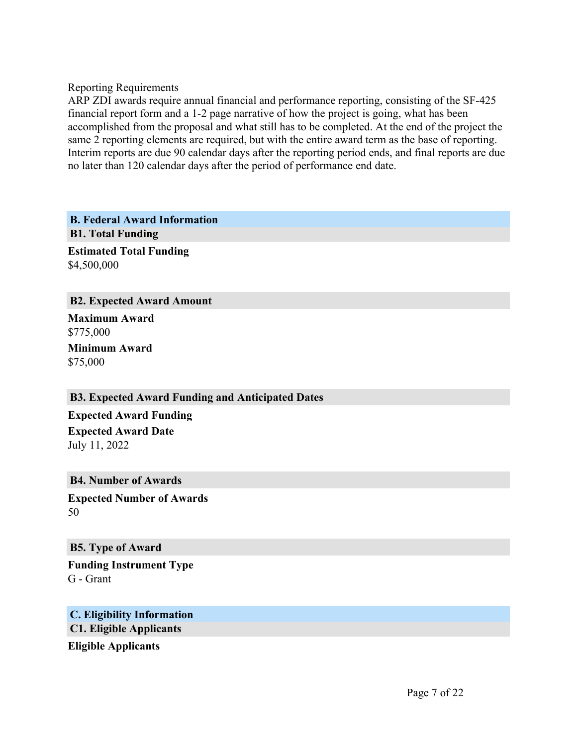Reporting Requirements

ARP ZDI awards require annual financial and performance reporting, consisting of the SF-425 financial report form and a 1-2 page narrative of how the project is going, what has been accomplished from the proposal and what still has to be completed. At the end of the project the same 2 reporting elements are required, but with the entire award term as the base of reporting. Interim reports are due 90 calendar days after the reporting period ends, and final reports are due no later than 120 calendar days after the period of performance end date.

<span id="page-7-1"></span><span id="page-7-0"></span>**B. Federal Award Information B1. Total Funding Estimated Total Funding**

\$4,500,000

#### <span id="page-7-2"></span>**B2. Expected Award Amount**

**Maximum Award** \$775,000 **Minimum Award** \$75,000

#### <span id="page-7-3"></span>**B3. Expected Award Funding and Anticipated Dates**

**Expected Award Funding Expected Award Date** July 11, 2022

#### <span id="page-7-4"></span>**B4. Number of Awards**

**Expected Number of Awards** 50

#### <span id="page-7-5"></span>**B5. Type of Award**

**Funding Instrument Type** G - Grant

# <span id="page-7-7"></span><span id="page-7-6"></span>**C. Eligibility Information C1. Eligible Applicants**

**Eligible Applicants**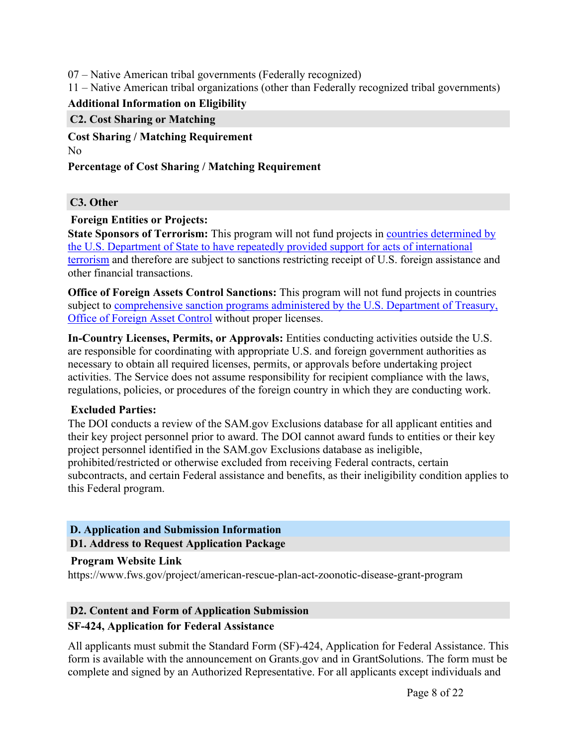07 – Native American tribal governments (Federally recognized)

11 – Native American tribal organizations (other than Federally recognized tribal governments)

# **Additional Information on Eligibility**

#### <span id="page-8-0"></span>**C2. Cost Sharing or Matching**

**Cost Sharing / Matching Requirement** No

### **Percentage of Cost Sharing / Matching Requirement**

### <span id="page-8-1"></span>**C3. Other**

#### **Foreign Entities or Projects:**

**State Sponsors of Terrorism:** This program will not fund projects in countries [determined](https://www.state.gov/j/ct/list/c14151.htm) by the U.S. Department of State to have repeatedly provided support for acts of [international](https://www.state.gov/j/ct/list/c14151.htm) [terrorism](https://www.state.gov/j/ct/list/c14151.htm) and therefore are subject to sanctions restricting receipt of U.S. foreign assistance and other financial transactions.

**Office of Foreign Assets Control Sanctions:** This program will not fund projects in countries subject to [comprehensive](http://www.treasury.gov/resource-center/sanctions/Pages/default.aspx) sanction programs administered by the U.S. Department of Treasury, Office of [Foreign](http://www.treasury.gov/resource-center/sanctions/Pages/default.aspx) Asset Control without proper licenses.

**In-Country Licenses, Permits, or Approvals:** Entities conducting activities outside the U.S. are responsible for coordinating with appropriate U.S. and foreign government authorities as necessary to obtain all required licenses, permits, or approvals before undertaking project activities. The Service does not assume responsibility for recipient compliance with the laws, regulations, policies, or procedures of the foreign country in which they are conducting work.

#### **Excluded Parties:**

The DOI conducts a review of the SAM.gov Exclusions database for all applicant entities and their key project personnel prior to award. The DOI cannot award funds to entities or their key project personnel identified in the SAM.gov Exclusions database as ineligible, prohibited/restricted or otherwise excluded from receiving Federal contracts, certain subcontracts, and certain Federal assistance and benefits, as their ineligibility condition applies to this Federal program.

# <span id="page-8-2"></span>**D. Application and Submission Information**

# <span id="page-8-3"></span>**D1. Address to Request Application Package**

#### **Program Website Link**

https://www.fws.gov/project/american-rescue-plan-act-zoonotic-disease-grant-program

# <span id="page-8-4"></span>**D2. Content and Form of Application Submission**

# **SF-424, Application for Federal Assistance**

All applicants must submit the Standard Form (SF)-424, Application for Federal Assistance. This form is available with the announcement on Grants.gov and in GrantSolutions. The form must be complete and signed by an Authorized Representative. For all applicants except individuals and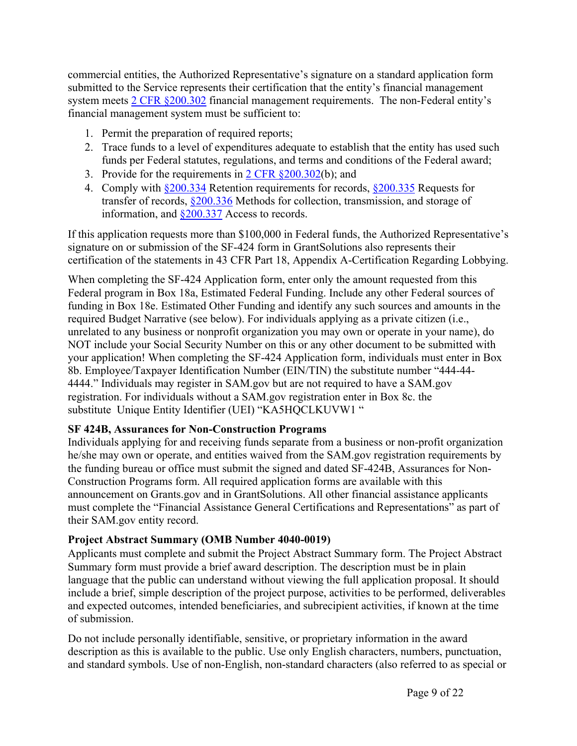commercial entities, the Authorized Representative's signature on a standard application form submitted to the Service represents their certification that the entity's financial management system meets 2 CFR [§200.302](https://www.ecfr.gov/current/title-2/subtitle-A/chapter-II/part-200/subpart-D/section-200.302) financial management requirements. The non-Federal entity's financial management system must be sufficient to:

- 1. Permit the preparation of required reports;
- 2. Trace funds to a level of expenditures adequate to establish that the entity has used such funds per Federal statutes, regulations, and terms and conditions of the Federal award;
- 3. Provide for the requirements in  $2 \text{ CFR } \S 200.302(b)$ ; and
- 4. Comply with [§200.334](https://www.ecfr.gov/current/title-2/subtitle-A/chapter-II/part-200/subpart-D/subject-group-ECFR4acc10e7e3b676f/section-200.334) Retention requirements for records, [§200.335](https://www.ecfr.gov/current/title-2/subtitle-A/chapter-II/part-200/subpart-D/subject-group-ECFR4acc10e7e3b676f/section-200.335) Requests for transfer of records, [§200.336](https://www.ecfr.gov/current/title-2/subtitle-A/chapter-II/part-200/subpart-D/subject-group-ECFR4acc10e7e3b676f/section-200.336) Methods for collection, transmission, and storage of information, and  $\S 200.337$  Access to records.

If this application requests more than \$100,000 in Federal funds, the Authorized Representative's signature on or submission of the SF-424 form in GrantSolutions also represents their certification of the statements in 43 CFR Part 18, Appendix A-Certification Regarding Lobbying.

When completing the SF-424 Application form, enter only the amount requested from this Federal program in Box 18a, Estimated Federal Funding. Include any other Federal sources of funding in Box 18e. Estimated Other Funding and identify any such sources and amounts in the required Budget Narrative (see below). For individuals applying as a private citizen (i.e., unrelated to any business or nonprofit organization you may own or operate in your name), do NOT include your Social Security Number on this or any other document to be submitted with your application! When completing the SF-424 Application form, individuals must enter in Box 8b. Employee/Taxpayer Identification Number (EIN/TIN) the substitute number "444-44- 4444." Individuals may register in SAM.gov but are not required to have a SAM.gov registration. For individuals without a SAM.gov registration enter in Box 8c. the substitute Unique Entity Identifier (UEI) "KA5HQCLKUVW1"

# **SF 424B, Assurances for Non-Construction Programs**

Individuals applying for and receiving funds separate from a business or non-profit organization he/she may own or operate, and entities waived from the SAM.gov registration requirements by the funding bureau or office must submit the signed and dated SF-424B, Assurances for Non-Construction Programs form. All required application forms are available with this announcement on Grants.gov and in GrantSolutions. All other financial assistance applicants must complete the "Financial Assistance General Certifications and Representations" as part of their SAM.gov entity record.

# **Project Abstract Summary (OMB Number 4040-0019)**

Applicants must complete and submit the Project Abstract Summary form. The Project Abstract Summary form must provide a brief award description. The description must be in plain language that the public can understand without viewing the full application proposal. It should include a brief, simple description of the project purpose, activities to be performed, deliverables and expected outcomes, intended beneficiaries, and subrecipient activities, if known at the time of submission.

Do not include personally identifiable, sensitive, or proprietary information in the award description as this is available to the public. Use only English characters, numbers, punctuation, and standard symbols. Use of non-English, non-standard characters (also referred to as special or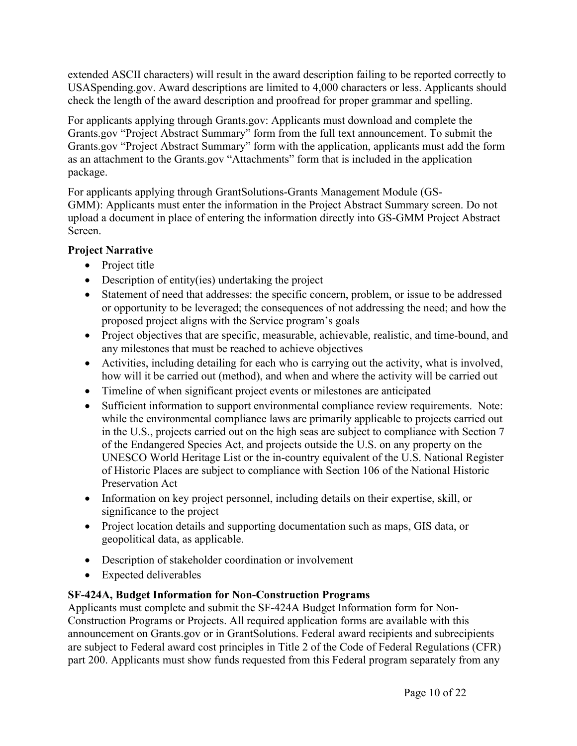extended ASCII characters) will result in the award description failing to be reported correctly to USASpending.gov. Award descriptions are limited to 4,000 characters or less. Applicants should check the length of the award description and proofread for proper grammar and spelling.

For applicants applying through Grants.gov: Applicants must download and complete the Grants.gov "Project Abstract Summary" form from the full text announcement. To submit the Grants.gov "Project Abstract Summary" form with the application, applicants must add the form as an attachment to the Grants.gov "Attachments" form that is included in the application package.

For applicants applying through GrantSolutions-Grants Management Module (GS-GMM): Applicants must enter the information in the Project Abstract Summary screen. Do not upload a document in place of entering the information directly into GS-GMM Project Abstract Screen.

# **Project Narrative**

- Project title
- Description of entity(ies) undertaking the project
- Statement of need that addresses: the specific concern, problem, or issue to be addressed or opportunity to be leveraged; the consequences of not addressing the need; and how the proposed project aligns with the Service program's goals
- Project objectives that are specific, measurable, achievable, realistic, and time-bound, and any milestones that must be reached to achieve objectives
- Activities, including detailing for each who is carrying out the activity, what is involved, how will it be carried out (method), and when and where the activity will be carried out
- Timeline of when significant project events or milestones are anticipated
- Sufficient information to support environmental compliance review requirements. Note: while the environmental compliance laws are primarily applicable to projects carried out in the U.S., projects carried out on the high seas are subject to compliance with Section 7 of the Endangered Species Act, and projects outside the U.S. on any property on the UNESCO World Heritage List or the in-country equivalent of the U.S. National Register of Historic Places are subject to compliance with Section 106 of the National Historic Preservation Act
- Information on key project personnel, including details on their expertise, skill, or significance to the project
- Project location details and supporting documentation such as maps, GIS data, or geopolitical data, as applicable.
- Description of stakeholder coordination or involvement
- Expected deliverables

# **SF-424A, Budget Information for Non-Construction Programs**

Applicants must complete and submit the SF-424A Budget Information form for Non-Construction Programs or Projects. All required application forms are available with this announcement on Grants.gov or in GrantSolutions. Federal award recipients and subrecipients are subject to Federal award cost principles in Title 2 of the Code of Federal Regulations (CFR) part 200. Applicants must show funds requested from this Federal program separately from any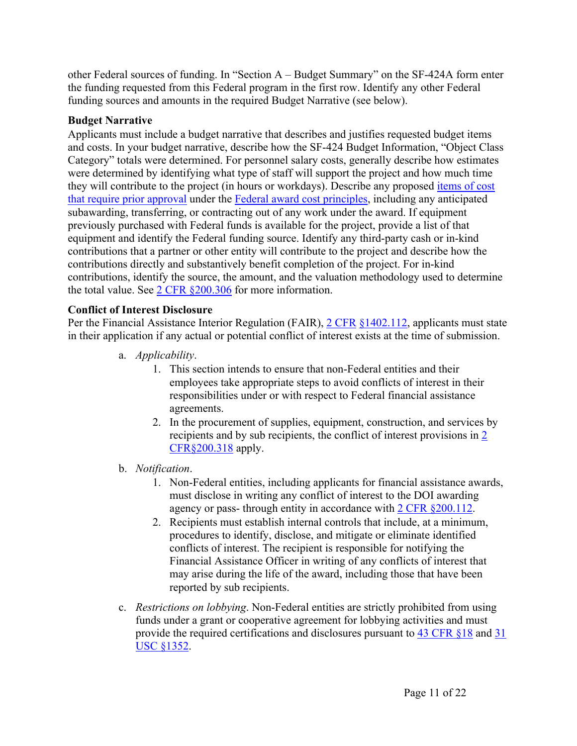other Federal sources of funding. In "Section A – Budget Summary" on the SF-424A form enter the funding requested from this Federal program in the first row. Identify any other Federal funding sources and amounts in the required Budget Narrative (see below).

# **Budget Narrative**

Applicants must include a budget narrative that describes and justifies requested budget items and costs. In your budget narrative, describe how the SF-424 Budget Information, "Object Class Category" totals were determined. For personnel salary costs, generally describe how estimates were determined by identifying what type of staff will support the project and how much time they will contribute to the project (in hours or workdays). Describe any proposed [items](https://www.ecfr.gov/current/title-2/subtitle-A/chapter-II/part-200#200.407) of cost that require prior [approval](https://www.ecfr.gov/current/title-2/subtitle-A/chapter-II/part-200#200.407) under the Federal award cost [principles](https://www.ecfr.gov/current/title-2/subtitle-A/chapter-II/part-200#subpart-E), including any anticipated subawarding, transferring, or contracting out of any work under the award. If equipment previously purchased with Federal funds is available for the project, provide a list of that equipment and identify the Federal funding source. Identify any third-party cash or in-kind contributions that a partner or other entity will contribute to the project and describe how the contributions directly and substantively benefit completion of the project. For in-kind contributions, identify the source, the amount, and the valuation methodology used to determine the total value. See 2 CFR [§200.306](https://www.ecfr.gov/current/title-2/subtitle-A/chapter-II/part-200/subpart-D/section-200.306) for more information.

# **Conflict of Interest Disclosure**

Per the Financial Assistance Interior Regulation (FAIR),  $2 \text{ CFR } \frac{\$1402.112}{\$12,}$  $2 \text{ CFR } \frac{\$1402.112}{\$12,}$  $2 \text{ CFR } \frac{\$1402.112}{\$12,}$  applicants must state in their application if any actual or potential conflict of interest exists at the time of submission.

- a. *Applicability*.
	- 1. This section intends to ensure that non-Federal entities and their employees take appropriate steps to avoid conflicts of interest in their responsibilities under or with respect to Federal financial assistance agreements.
	- 2. In the procurement of supplies, equipment, construction, and services by recipients and by sub recipients, the conflict of interest provisions in [2](https://www.ecfr.gov/current/title-2/subtitle-A/chapter-II/part-200/subpart-D/subject-group-ECFR45ddd4419ad436d/section-200.318) [CFR§200.318](https://www.ecfr.gov/current/title-2/subtitle-A/chapter-II/part-200/subpart-D/subject-group-ECFR45ddd4419ad436d/section-200.318) apply.
- b. *Notification*.
	- 1. Non-Federal entities, including applicants for financial assistance awards, must disclose in writing any conflict of interest to the DOI awarding agency or pass- through entity in accordance with 2 CFR [§200.112.](https://www.ecfr.gov/current/title-2/subtitle-A/chapter-II/part-200/subpart-B/section-200.112)
	- 2. Recipients must establish internal controls that include, at a minimum, procedures to identify, disclose, and mitigate or eliminate identified conflicts of interest. The recipient is responsible for notifying the Financial Assistance Officer in writing of any conflicts of interest that may arise during the life of the award, including those that have been reported by sub recipients.
- c. *Restrictions on lobbying*. Non-Federal entities are strictly prohibited from using funds under a grant or cooperative agreement for lobbying activities and must provide the required certifications and disclosures pursuant to 43 [CFR](https://www.ecfr.gov/current/title-43/subtitle-A/part-18) §18 and [31](https://www.govinfo.gov/content/pkg/USCODE-2019-title31/pdf/USCODE-2019-title31-subtitleII-chap13-subchapIII-sec1352.pdf) USC [§1352](https://www.govinfo.gov/content/pkg/USCODE-2019-title31/pdf/USCODE-2019-title31-subtitleII-chap13-subchapIII-sec1352.pdf).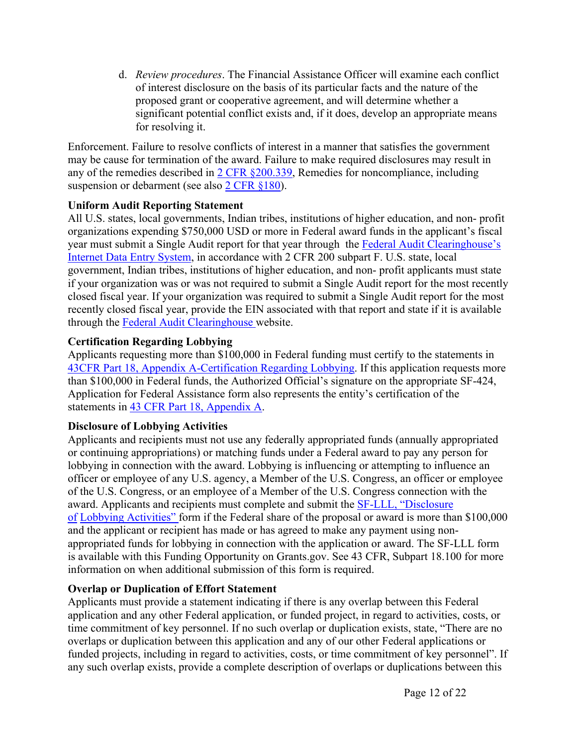d. *Review procedures*. The Financial Assistance Officer will examine each conflict of interest disclosure on the basis of its particular facts and the nature of the proposed grant or cooperative agreement, and will determine whether a significant potential conflict exists and, if it does, develop an appropriate means for resolving it.

Enforcement. Failure to resolve conflicts of interest in a manner that satisfies the government may be cause for termination of the award. Failure to make required disclosures may result in any of the remedies described in 2 CFR [§200.339](https://www.ecfr.gov/current/title-2/subtitle-A/chapter-II/part-200/subpart-D/subject-group-ECFR86b76dde0e1e9dc/section-200.339), Remedies for noncompliance, including suspension or debarment (see also 2 CFR [§180\)](https://www.ecfr.gov/current/title-2/subtitle-A/chapter-I/part-180).

# **Uniform Audit Reporting Statement**

All U.S. states, local governments, Indian tribes, institutions of higher education, and non- profit organizations expending \$750,000 USD or more in Federal award funds in the applicant's fiscal year must submit a Single Audit report for that year through the Federal Audit [Clearinghouse's](https://harvester.census.gov/facides/Account/Login.aspx) [Internet](https://harvester.census.gov/facides/Account/Login.aspx) Data Entry System, in accordance with 2 CFR 200 subpart F. U.S. state, local government, Indian tribes, institutions of higher education, and non- profit applicants must state if your organization was or was not required to submit a Single Audit report for the most recently closed fiscal year. If your organization was required to submit a Single Audit report for the most recently closed fiscal year, provide the EIN associated with that report and state if it is available through the Federal Audit [Clearinghouse](https://harvester.census.gov/facdissem/Main.aspx) website.

# **Certification Regarding Lobbying**

Applicants requesting more than \$100,000 in Federal funding must certify to the statements in 43CFR Part 18, Appendix [A-Certification](https://www.ecfr.gov/current/title-43/subtitle-A/part-18) Regarding Lobbying. If this application requests more than \$100,000 in Federal funds, the Authorized Official's signature on the appropriate SF-424, Application for Federal Assistance form also represents the entity's certification of the statements in 43 CFR Part 18, [Appendix](https://www.ecfr.gov/current/title-43/subtitle-A/part-18) A.

# **Disclosure of Lobbying Activities**

Applicants and recipients must not use any federally appropriated funds (annually appropriated or continuing appropriations) or matching funds under a Federal award to pay any person for lobbying in connection with the award. Lobbying is influencing or attempting to influence an officer or employee of any U.S. agency, a Member of the U.S. Congress, an officer or employee of the U.S. Congress, or an employee of a Member of the U.S. Congress connection with the award. Applicants and recipients must complete and submit the SF-LLL, ["Disclosure](https://www.grants.gov/web/grants/forms/post-award-reporting-forms.html) [of](https://www.grants.gov/web/grants/forms/post-award-reporting-forms.html) Lobbying [Activities"](https://www.grants.gov/web/grants/forms/post-award-reporting-forms.html) form if the Federal share of the proposal or award is more than \$100,000 and the applicant or recipient has made or has agreed to make any payment using nonappropriated funds for lobbying in connection with the application or award. The SF-LLL form is available with this Funding Opportunity on Grants.gov. See 43 CFR, Subpart 18.100 for more information on when additional submission of this form is required.

# **Overlap or Duplication of Effort Statement**

Applicants must provide a statement indicating if there is any overlap between this Federal application and any other Federal application, or funded project, in regard to activities, costs, or time commitment of key personnel. If no such overlap or duplication exists, state, "There are no overlaps or duplication between this application and any of our other Federal applications or funded projects, including in regard to activities, costs, or time commitment of key personnel". If any such overlap exists, provide a complete description of overlaps or duplications between this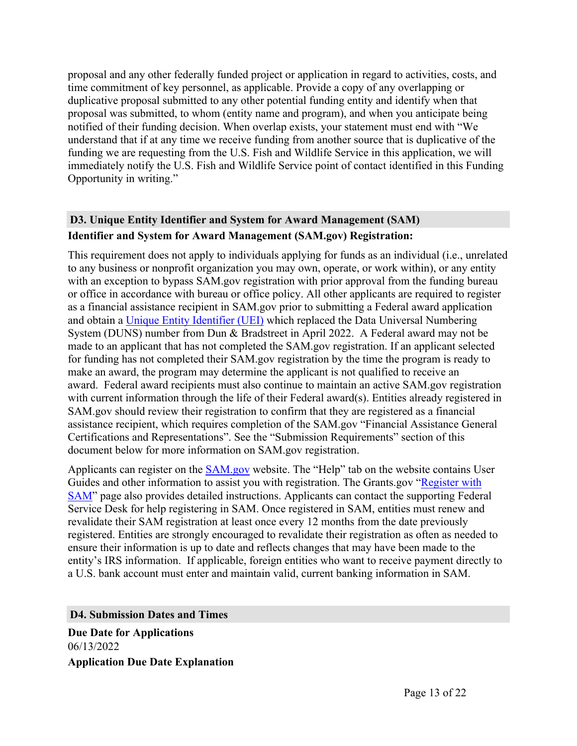proposal and any other federally funded project or application in regard to activities, costs, and time commitment of key personnel, as applicable. Provide a copy of any overlapping or duplicative proposal submitted to any other potential funding entity and identify when that proposal was submitted, to whom (entity name and program), and when you anticipate being notified of their funding decision. When overlap exists, your statement must end with "We understand that if at any time we receive funding from another source that is duplicative of the funding we are requesting from the U.S. Fish and Wildlife Service in this application, we will immediately notify the U.S. Fish and Wildlife Service point of contact identified in this Funding Opportunity in writing."

# <span id="page-13-0"></span>**D3. Unique Entity Identifier and System for Award Management (SAM) Identifier and System for Award Management (SAM.gov) Registration:**

This requirement does not apply to individuals applying for funds as an individual (i.e., unrelated to any business or nonprofit organization you may own, operate, or work within), or any entity with an exception to bypass SAM.gov registration with prior approval from the funding bureau or office in accordance with bureau or office policy. All other applicants are required to register as a financial assistance recipient in SAM.gov prior to submitting a Federal award application and obtain a Unique Entity [Identifier](https://www.gsa.gov/about-us/organization/federal-acquisition-service/office-of-systems-management/integrated-award-environment-iae/iae-systems-information-kit/unique-entity-identifier-update) (UEI) which replaced the Data Universal Numbering System (DUNS) number from Dun & Bradstreet in April 2022. A Federal award may not be made to an applicant that has not completed the SAM.gov registration. If an applicant selected for funding has not completed their SAM.gov registration by the time the program is ready to make an award, the program may determine the applicant is not qualified to receive an award. Federal award recipients must also continue to maintain an active SAM.gov registration with current information through the life of their Federal award(s). Entities already registered in SAM.gov should review their registration to confirm that they are registered as a financial assistance recipient, which requires completion of the SAM.gov "Financial Assistance General Certifications and Representations". See the "Submission Requirements" section of this document below for more information on SAM.gov registration.

Applicants can register on the [SAM.gov](http://www.sam.gov) website. The "Help" tab on the website contains User Guides and other information to assist you with registration. The Grants.gov "[Register](https://www.grants.gov/help/html/help/Register/RegisterWithSAM.htm) with [SAM](https://www.grants.gov/help/html/help/Register/RegisterWithSAM.htm)" page also provides detailed instructions. Applicants can contact the supporting Federal Service Desk for help registering in SAM. Once registered in SAM, entities must renew and revalidate their SAM registration at least once every 12 months from the date previously registered. Entities are strongly encouraged to revalidate their registration as often as needed to ensure their information is up to date and reflects changes that may have been made to the entity's IRS information. If applicable, foreign entities who want to receive payment directly to a U.S. bank account must enter and maintain valid, current banking information in SAM.

<span id="page-13-1"></span>**D4. Submission Dates and Times**

**Due Date for Applications** 06/13/2022 **Application Due Date Explanation**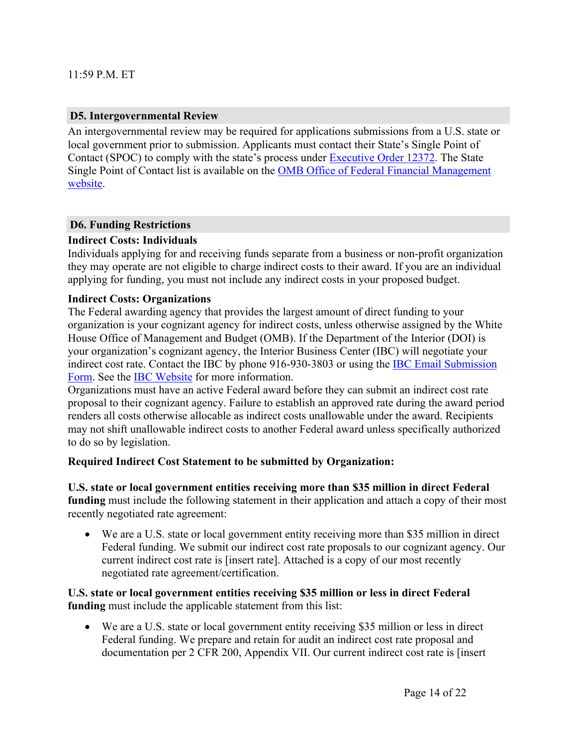#### <span id="page-14-0"></span>**D5. Intergovernmental Review**

An intergovernmental review may be required for applications submissions from a U.S. state or local government prior to submission. Applicants must contact their State's Single Point of Contact (SPOC) to comply with the state's process under [Executive](https://www.archives.gov/federal-register/codification/executive-order/12372.html) Order 12372. The State Single Point of Contact list is available on the OMB Office of Federal Financial [Management](https://www.whitehouse.gov/omb/management/office-federal-financial-management/) [website.](https://www.whitehouse.gov/omb/management/office-federal-financial-management/)

#### <span id="page-14-1"></span>**D6. Funding Restrictions**

#### **Indirect Costs: Individuals**

Individuals applying for and receiving funds separate from a business or non-profit organization they may operate are not eligible to charge indirect costs to their award. If you are an individual applying for funding, you must not include any indirect costs in your proposed budget.

#### **Indirect Costs: Organizations**

The Federal awarding agency that provides the largest amount of direct funding to your organization is your cognizant agency for indirect costs, unless otherwise assigned by the White House Office of Management and Budget (OMB). If the Department of the Interior (DOI) is your organization's cognizant agency, the Interior Business Center (IBC) will negotiate your indirect cost rate. Contact the IBC by phone 916-930-3803 or using the IBC Email [Submission](https://ibc.doi.gov/ICS/contact-us) [Form](https://ibc.doi.gov/ICS/contact-us). See the IBC [Website](https://ibc.doi.gov/ICS/icrna) for more information.

Organizations must have an active Federal award before they can submit an indirect cost rate proposal to their cognizant agency. Failure to establish an approved rate during the award period renders all costs otherwise allocable as indirect costs unallowable under the award. Recipients may not shift unallowable indirect costs to another Federal award unless specifically authorized to do so by legislation.

#### **Required Indirect Cost Statement to be submitted by Organization:**

**U.S. state or local government entities receiving more than \$35 million in direct Federal funding** must include the following statement in their application and attach a copy of their most recently negotiated rate agreement:

 We are a U.S. state or local government entity receiving more than \$35 million in direct Federal funding. We submit our indirect cost rate proposals to our cognizant agency. Our current indirect cost rate is [insert rate]. Attached is a copy of our most recently negotiated rate agreement/certification.

**U.S. state or local government entities receiving \$35 million or less in direct Federal funding** must include the applicable statement from this list:

 We are a U.S. state or local government entity receiving \$35 million or less in direct Federal funding. We prepare and retain for audit an indirect cost rate proposal and documentation per 2 CFR 200, Appendix VII. Our current indirect cost rate is [insert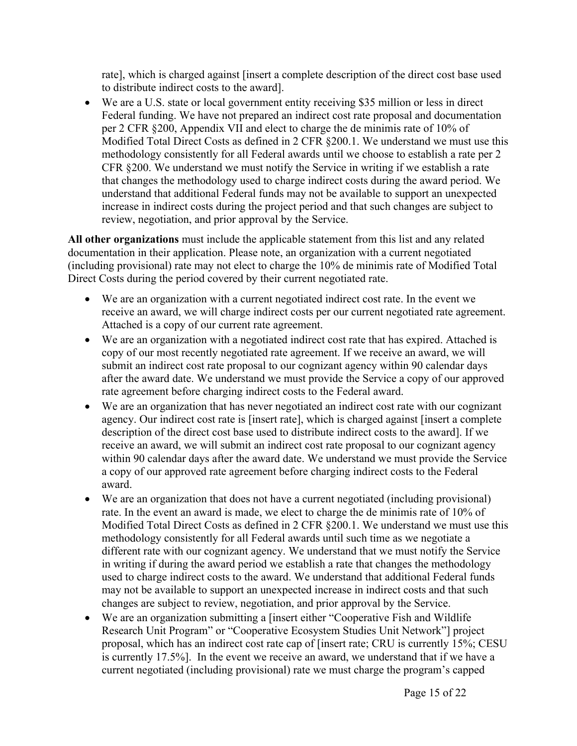rate], which is charged against [insert a complete description of the direct cost base used to distribute indirect costs to the award].

 We are a U.S. state or local government entity receiving \$35 million or less in direct Federal funding. We have not prepared an indirect cost rate proposal and documentation per 2 CFR §200, Appendix VII and elect to charge the de minimis rate of 10% of Modified Total Direct Costs as defined in 2 CFR §200.1. We understand we must use this methodology consistently for all Federal awards until we choose to establish a rate per 2 CFR §200. We understand we must notify the Service in writing if we establish a rate that changes the methodology used to charge indirect costs during the award period. We understand that additional Federal funds may not be available to support an unexpected increase in indirect costs during the project period and that such changes are subject to review, negotiation, and prior approval by the Service.

**All other organizations** must include the applicable statement from this list and any related documentation in their application. Please note, an organization with a current negotiated (including provisional) rate may not elect to charge the 10% de minimis rate of Modified Total Direct Costs during the period covered by their current negotiated rate.

- We are an organization with a current negotiated indirect cost rate. In the event we receive an award, we will charge indirect costs per our current negotiated rate agreement. Attached is a copy of our current rate agreement.
- We are an organization with a negotiated indirect cost rate that has expired. Attached is copy of our most recently negotiated rate agreement. If we receive an award, we will submit an indirect cost rate proposal to our cognizant agency within 90 calendar days after the award date. We understand we must provide the Service a copy of our approved rate agreement before charging indirect costs to the Federal award.
- We are an organization that has never negotiated an indirect cost rate with our cognizant agency. Our indirect cost rate is [insert rate], which is charged against [insert a complete description of the direct cost base used to distribute indirect costs to the award]. If we receive an award, we will submit an indirect cost rate proposal to our cognizant agency within 90 calendar days after the award date. We understand we must provide the Service a copy of our approved rate agreement before charging indirect costs to the Federal award.
- We are an organization that does not have a current negotiated (including provisional) rate. In the event an award is made, we elect to charge the de minimis rate of 10% of Modified Total Direct Costs as defined in 2 CFR §200.1. We understand we must use this methodology consistently for all Federal awards until such time as we negotiate a different rate with our cognizant agency. We understand that we must notify the Service in writing if during the award period we establish a rate that changes the methodology used to charge indirect costs to the award. We understand that additional Federal funds may not be available to support an unexpected increase in indirect costs and that such changes are subject to review, negotiation, and prior approval by the Service.
- We are an organization submitting a [insert either "Cooperative Fish and Wildlife Research Unit Program" or "Cooperative Ecosystem Studies Unit Network"] project proposal, which has an indirect cost rate cap of [insert rate; CRU is currently 15%; CESU is currently 17.5%]. In the event we receive an award, we understand that if we have a current negotiated (including provisional) rate we must charge the program's capped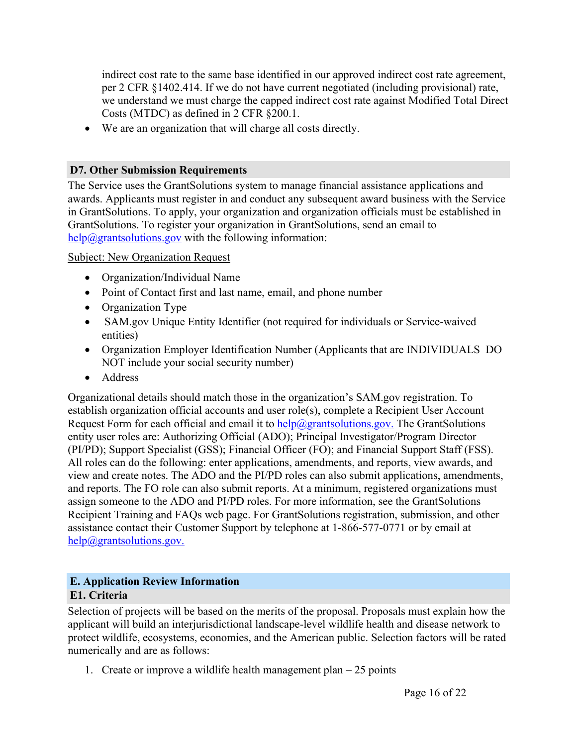indirect cost rate to the same base identified in our approved indirect cost rate agreement, per 2 CFR §1402.414. If we do not have current negotiated (including provisional) rate, we understand we must charge the capped indirect cost rate against Modified Total Direct Costs (MTDC) as defined in 2 CFR §200.1.

We are an organization that will charge all costs directly.

# <span id="page-16-0"></span>**D7. Other Submission Requirements**

The Service uses the GrantSolutions system to manage financial assistance applications and awards. Applicants must register in and conduct any subsequent award business with the Service in GrantSolutions. To apply, your organization and organization officials must be established in GrantSolutions. To register your organization in GrantSolutions, send an email to  $help@grantsolutions.gov$  with the following information:

# Subject: New Organization Request

- Organization/Individual Name
- Point of Contact first and last name, email, and phone number
- Organization Type
- SAM.gov Unique Entity Identifier (not required for individuals or Service-waived entities)
- Organization Employer Identification Number (Applicants that are INDIVIDUALS DO NOT include your social security number)
- Address

Organizational details should match those in the organization's SAM.gov registration. To establish organization official accounts and user role(s), complete a Recipient User Account Request Form for each official and email it to  $\frac{help(2) grants solutions.gov.}$  The GrantSolutions entity user roles are: Authorizing Official (ADO); Principal Investigator/Program Director (PI/PD); Support Specialist (GSS); Financial Officer (FO); and Financial Support Staff (FSS). All roles can do the following: enter applications, amendments, and reports, view awards, and view and create notes. The ADO and the PI/PD roles can also submit applications, amendments, and reports. The FO role can also submit reports. At a minimum, registered organizations must assign someone to the ADO and PI/PD roles. For more information, see the GrantSolutions Recipient Training and FAQs web page. For GrantSolutions registration, submission, and other assistance contact their Customer Support by telephone at 1-866-577-0771 or by email at [help@grantsolutions.gov.](mailto:help@grantsolutions.gov.)

# <span id="page-16-2"></span><span id="page-16-1"></span>**E. Application Review Information E1. Criteria**

Selection of projects will be based on the merits of the proposal. Proposals must explain how the applicant will build an interjurisdictional landscape-level wildlife health and disease network to protect wildlife, ecosystems, economies, and the American public. Selection factors will be rated numerically and are as follows:

1. Create or improve a wildlife health management plan  $-25$  points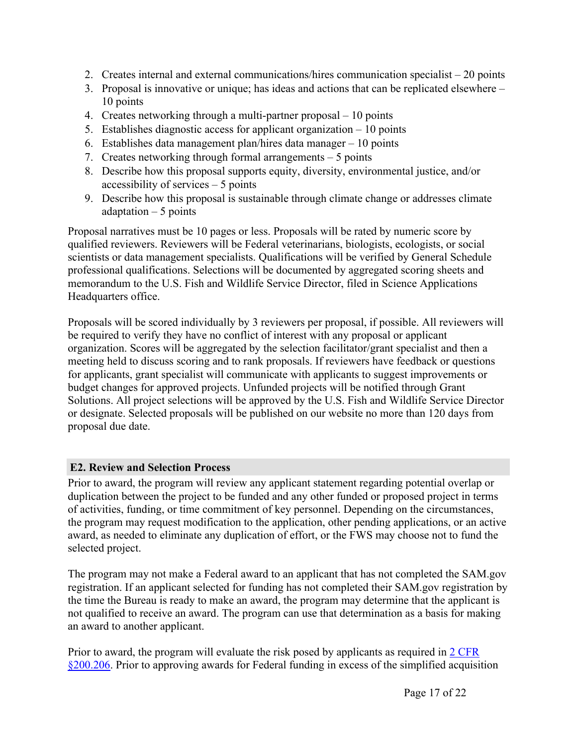- 2. Creates internal and external communications/hires communication specialist 20 points
- 3. Proposal is innovative or unique; has ideas and actions that can be replicated elsewhere 10 points
- 4. Creates networking through a multi-partner proposal 10 points
- 5. Establishes diagnostic access for applicant organization 10 points
- 6. Establishes data management plan/hires data manager 10 points
- 7. Creates networking through formal arrangements 5 points
- 8. Describe how this proposal supports equity, diversity, environmental justice, and/or accessibility of services – 5 points
- 9. Describe how this proposal is sustainable through climate change or addresses climate adaptation  $-5$  points

Proposal narratives must be 10 pages or less. Proposals will be rated by numeric score by qualified reviewers. Reviewers will be Federal veterinarians, biologists, ecologists, or social scientists or data management specialists. Qualifications will be verified by General Schedule professional qualifications. Selections will be documented by aggregated scoring sheets and memorandum to the U.S. Fish and Wildlife Service Director, filed in Science Applications Headquarters office.

Proposals will be scored individually by 3 reviewers per proposal, if possible. All reviewers will be required to verify they have no conflict of interest with any proposal or applicant organization. Scores will be aggregated by the selection facilitator/grant specialist and then a meeting held to discuss scoring and to rank proposals. If reviewers have feedback or questions for applicants, grant specialist will communicate with applicants to suggest improvements or budget changes for approved projects. Unfunded projects will be notified through Grant Solutions. All project selections will be approved by the U.S. Fish and Wildlife Service Director or designate. Selected proposals will be published on our website no more than 120 days from proposal due date.

# <span id="page-17-0"></span>**E2. Review and Selection Process**

Prior to award, the program will review any applicant statement regarding potential overlap or duplication between the project to be funded and any other funded or proposed project in terms of activities, funding, or time commitment of key personnel. Depending on the circumstances, the program may request modification to the application, other pending applications, or an active award, as needed to eliminate any duplication of effort, or the FWS may choose not to fund the selected project.

The program may not make a Federal award to an applicant that has not completed the SAM.gov registration. If an applicant selected for funding has not completed their SAM.gov registration by the time the Bureau is ready to make an award, the program may determine that the applicant is not qualified to receive an award. The program can use that determination as a basis for making an award to another applicant.

Prior to award, the program will evaluate the risk posed by applicants as required in 2 [CFR](https://www.ecfr.gov/current/title-2/subtitle-A/chapter-II/part-200/subpart-C/section-200.206) [§200.206](https://www.ecfr.gov/current/title-2/subtitle-A/chapter-II/part-200/subpart-C/section-200.206). Prior to approving awards for Federal funding in excess of the simplified acquisition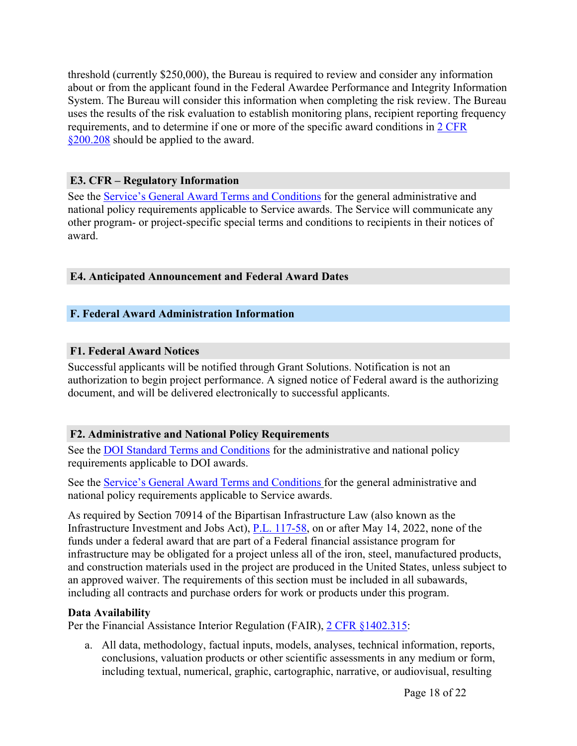threshold (currently \$250,000), the Bureau is required to review and consider any information about or from the applicant found in the Federal Awardee Performance and Integrity Information System. The Bureau will consider this information when completing the risk review. The Bureau uses the results of the risk evaluation to establish monitoring plans, recipient reporting frequency requirements, and to determine if one or more of the specific award conditions in 2 [CFR](https://www.ecfr.gov/current/title-2/subtitle-A/chapter-II/part-200/subpart-C/section-200.208) [§200.208](https://www.ecfr.gov/current/title-2/subtitle-A/chapter-II/part-200/subpart-C/section-200.208) should be applied to the award.

# <span id="page-18-0"></span>**E3. CFR – Regulatory Information**

See the Service's General Award Terms and [Conditions](https://www.fws.gov/library/collections/financial-assistance-general-award-terms-and-conditions) for the general administrative and national policy requirements applicable to Service awards. The Service will communicate any other program- or project-specific special terms and conditions to recipients in their notices of award.

# <span id="page-18-1"></span>**E4. Anticipated Announcement and Federal Award Dates**

# <span id="page-18-2"></span>**F. Federal Award Administration Information**

# <span id="page-18-3"></span>**F1. Federal Award Notices**

Successful applicants will be notified through Grant Solutions. Notification is not an authorization to begin project performance. A signed notice of Federal award is the authorizing document, and will be delivered electronically to successful applicants.

# <span id="page-18-4"></span>**F2. Administrative and National Policy Requirements**

See the DOI Standard Terms and [Conditions](https://www.doi.gov/grants/doi-standard-terms-and-conditions) for the administrative and national policy requirements applicable to DOI awards.

See the Service's General Award Terms and [Conditions](https://www.fws.gov/library/collections/financial-assistance-general-award-terms-and-conditions) for the general administrative and national policy requirements applicable to Service awards.

As required by Section 70914 of the Bipartisan Infrastructure Law (also known as the Infrastructure Investment and Jobs Act), P.L. [117-58,](https://www.govinfo.gov/content/pkg/PLAW-117publ58/pdf/PLAW-117publ58.pdf) on or after May 14, 2022, none of the funds under a federal award that are part of a Federal financial assistance program for infrastructure may be obligated for a project unless all of the iron, steel, manufactured products, and construction materials used in the project are produced in the United States, unless subject to an approved waiver. The requirements of this section must be included in all subawards, including all contracts and purchase orders for work or products under this program.

# **Data Availability**

Per the Financial Assistance Interior Regulation (FAIR), 2 [CFR](https://www.ecfr.gov/cgi-bin/text-idx?SID=1bfd0da1190f850482e94794cca23a5d&mc=true&node=20190830y1.1) [§1402.315](https://www.ecfr.gov/current/title-2/subtitle-B/chapter-XIV/part-1402/subpart-D/section-1402.315):

a. All data, methodology, factual inputs, models, analyses, technical information, reports, conclusions, valuation products or other scientific assessments in any medium or form, including textual, numerical, graphic, cartographic, narrative, or audiovisual, resulting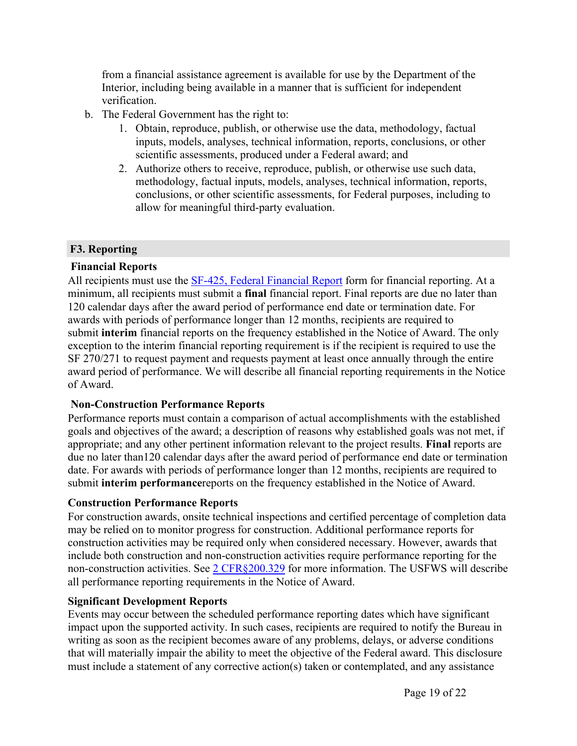from a financial assistance agreement is available for use by the Department of the Interior, including being available in a manner that is sufficient for independent verification.

- b. The Federal Government has the right to:
	- 1. Obtain, reproduce, publish, or otherwise use the data, methodology, factual inputs, models, analyses, technical information, reports, conclusions, or other scientific assessments, produced under a Federal award; and
	- 2. Authorize others to receive, reproduce, publish, or otherwise use such data, methodology, factual inputs, models, analyses, technical information, reports, conclusions, or other scientific assessments, for Federal purposes, including to allow for meaningful third-party evaluation.

# <span id="page-19-0"></span>**F3. Reporting**

# **Financial Reports**

All recipients must use the SF-425, Federal [Financial](https://www.grants.gov/web/grants/forms/post-award-reporting-forms.html) Report form for financial reporting. At a minimum, all recipients must submit a **final** financial report. Final reports are due no later than 120 calendar days after the award period of performance end date or termination date. For awards with periods of performance longer than 12 months, recipients are required to submit **interim** financial reports on the frequency established in the Notice of Award. The only exception to the interim financial reporting requirement is if the recipient is required to use the SF 270/271 to request payment and requests payment at least once annually through the entire award period of performance. We will describe all financial reporting requirements in the Notice of Award.

# **Non-Construction Performance Reports**

Performance reports must contain a comparison of actual accomplishments with the established goals and objectives of the award; a description of reasons why established goals was not met, if appropriate; and any other pertinent information relevant to the project results. **Final** reports are due no later than120 calendar days after the award period of performance end date or termination date. For awards with periods of performance longer than 12 months, recipients are required to submit **interim performance**reports on the frequency established in the Notice of Award.

# **Construction Performance Reports**

For construction awards, onsite technical inspections and certified percentage of completion data may be relied on to monitor progress for construction. Additional performance reports for construction activities may be required only when considered necessary. However, awards that include both construction and non-construction activities require performance reporting for the non-construction activities. See 2 [CFR§200.329](https://www.ecfr.gov/current/title-2/subtitle-A/chapter-II/part-200/subpart-D/subject-group-ECFR36520e4111dce32/section-200.329) for more information. The USFWS will describe all performance reporting requirements in the Notice of Award.

# **Significant Development Reports**

Events may occur between the scheduled performance reporting dates which have significant impact upon the supported activity. In such cases, recipients are required to notify the Bureau in writing as soon as the recipient becomes aware of any problems, delays, or adverse conditions that will materially impair the ability to meet the objective of the Federal award. This disclosure must include a statement of any corrective action(s) taken or contemplated, and any assistance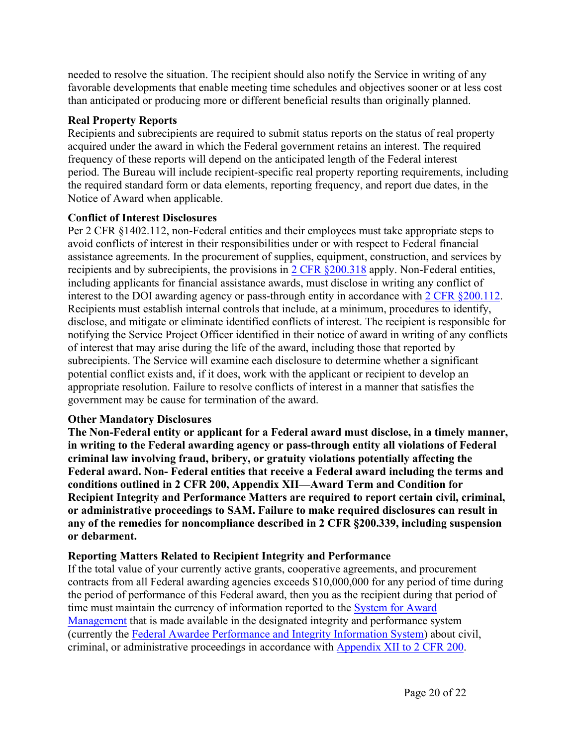needed to resolve the situation. The recipient should also notify the Service in writing of any favorable developments that enable meeting time schedules and objectives sooner or at less cost than anticipated or producing more or different beneficial results than originally planned.

### **Real Property Reports**

Recipients and subrecipients are required to submit status reports on the status of real property acquired under the award in which the Federal government retains an interest. The required frequency of these reports will depend on the anticipated length of the Federal interest period. The Bureau will include recipient-specific real property reporting requirements, including the required standard form or data elements, reporting frequency, and report due dates, in the Notice of Award when applicable.

### **Conflict of Interest Disclosures**

Per 2 CFR §1402.112, non-Federal entities and their employees must take appropriate steps to avoid conflicts of interest in their responsibilities under or with respect to Federal financial assistance agreements. In the procurement of supplies, equipment, construction, and services by recipients and by subrecipients, the provisions in 2 CFR [§200.318](https://www.ecfr.gov/current/title-2/subtitle-A/chapter-II/part-200/subpart-D/subject-group-ECFR45ddd4419ad436d/section-200.318) apply. Non-Federal entities, including applicants for financial assistance awards, must disclose in writing any conflict of interest to the DOI awarding agency or pass-through entity in accordance with 2 CFR [§200.112.](https://www.ecfr.gov/current/title-2/subtitle-A/chapter-II/part-200/subpart-B/section-200.112) Recipients must establish internal controls that include, at a minimum, procedures to identify, disclose, and mitigate or eliminate identified conflicts of interest. The recipient is responsible for notifying the Service Project Officer identified in their notice of award in writing of any conflicts of interest that may arise during the life of the award, including those that reported by subrecipients. The Service will examine each disclosure to determine whether a significant potential conflict exists and, if it does, work with the applicant or recipient to develop an appropriate resolution. Failure to resolve conflicts of interest in a manner that satisfies the government may be cause for termination of the award.

# **Other Mandatory Disclosures**

**The Non-Federal entity or applicant for a Federal award must disclose, in a timely manner, in writing to the Federal awarding agency or pass-through entity all violations of Federal criminal law involving fraud, bribery, or gratuity violations potentially affecting the Federal award. Non- Federal entities that receive a Federal award including the terms and conditions outlined in 2 CFR 200, Appendix XII—Award Term and Condition for Recipient Integrity and Performance Matters are required to report certain civil, criminal, or administrative proceedings to SAM. Failure to make required disclosures can result in any of the remedies for noncompliance described in 2 CFR §200.339, including suspension or debarment.**

# **Reporting Matters Related to Recipient Integrity and Performance**

If the total value of your currently active grants, cooperative agreements, and procurement contracts from all Federal awarding agencies exceeds \$10,000,000 for any period of time during the period of performance of this Federal award, then you as the recipient during that period of time must maintain the currency of information reported to the [System](http://www.sam.gov/) for Award [Management](http://www.sam.gov/) that is made available in the designated integrity and performance system (currently the Federal Awardee [Performance](https://www.fapiis.gov) and Integrity Information System) about civil, criminal, or administrative proceedings in accordance with [Appendix](https://www.ecfr.gov/current/title-2/subtitle-A/chapter-II/part-200/appendix-Appendix%20XII%20to%20Part%20200) XII to 2 CFR 200.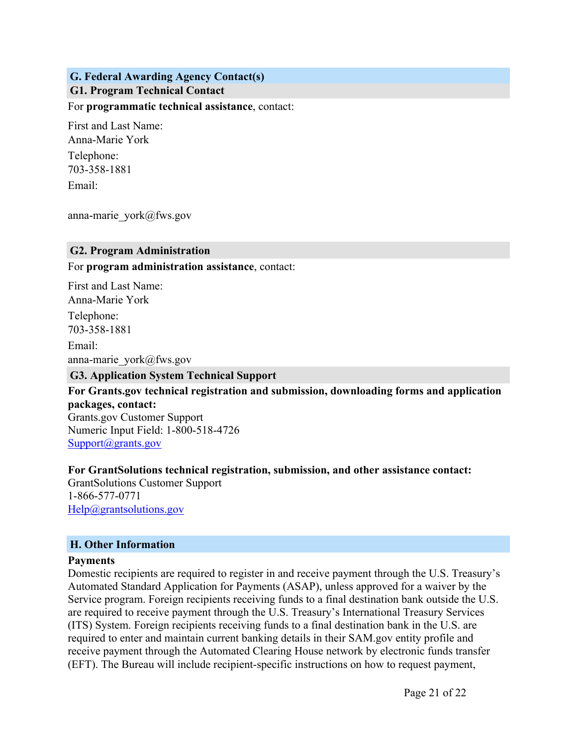# <span id="page-21-1"></span><span id="page-21-0"></span>**G. Federal Awarding Agency Contact(s) G1. Program Technical Contact**

For **programmatic technical assistance**, contact:

First and Last Name: Anna-Marie York Telephone: 703-358-1881 Email:

anna-marie\_york@fws.gov

#### <span id="page-21-2"></span>**G2. Program Administration**

For **program administration assistance**, contact:

First and Last Name: Anna-Marie York Telephone: 703-358-1881 Email: anna-marie\_york@fws.gov

#### <span id="page-21-3"></span>**G3. Application System Technical Support**

**For Grants.gov technical registration and submission, downloading forms and application packages, contact:** Grants.gov Customer Support Numeric Input Field: 1-800-518-4726 [Support@grants.gov](mailto:Support@grants.gov)

**For GrantSolutions technical registration, submission, and other assistance contact:**

GrantSolutions Customer Support 1-866-577-0771 [Help@grantsolutions.gov](mailto:Help@grantsolutions.gov)

#### <span id="page-21-4"></span>**H. Other Information**

#### **Payments**

Domestic recipients are required to register in and receive payment through the U.S. Treasury's Automated Standard Application for Payments (ASAP), unless approved for a waiver by the Service program. Foreign recipients receiving funds to a final destination bank outside the U.S. are required to receive payment through the U.S. Treasury's International Treasury Services (ITS) System. Foreign recipients receiving funds to a final destination bank in the U.S. are required to enter and maintain current banking details in their SAM.gov entity profile and receive payment through the Automated Clearing House network by electronic funds transfer (EFT). The Bureau will include recipient-specific instructions on how to request payment,